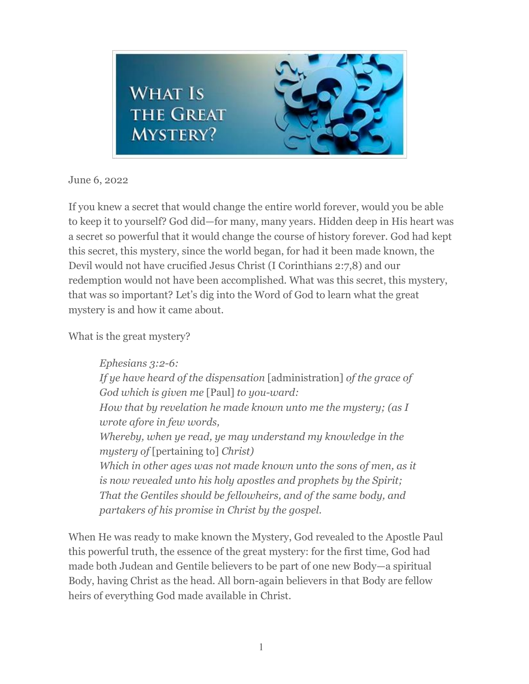

## June 6, 2022

If you knew a secret that would change the entire world forever, would you be able to keep it to yourself? God did—for many, many years. Hidden deep in His heart was a secret so powerful that it would change the course of history forever. God had kept this secret, this mystery, since the world began, for had it been made known, the Devil would not have crucified Jesus Christ (I Corinthians 2:7,8) and our redemption would not have been accomplished. What was this secret, this mystery, that was so important? Let's dig into the Word of God to learn what the great mystery is and how it came about.

What is the great mystery?

*Ephesians 3:2-6: If ye have heard of the dispensation* [administration] *of the grace of God which is given me* [Paul] *to you-ward: How that by revelation he made known unto me the mystery; (as I wrote afore in few words, Whereby, when ye read, ye may understand my knowledge in the mystery of* [pertaining to] *Christ) Which in other ages was not made known unto the sons of men, as it is now revealed unto his holy apostles and prophets by the Spirit; That the Gentiles should be fellowheirs, and of the same body, and partakers of his promise in Christ by the gospel.*

When He was ready to make known the Mystery, God revealed to the Apostle Paul this powerful truth, the essence of the great mystery: for the first time, God had made both Judean and Gentile believers to be part of one new Body—a spiritual Body, having Christ as the head. All born-again believers in that Body are fellow heirs of everything God made available in Christ.